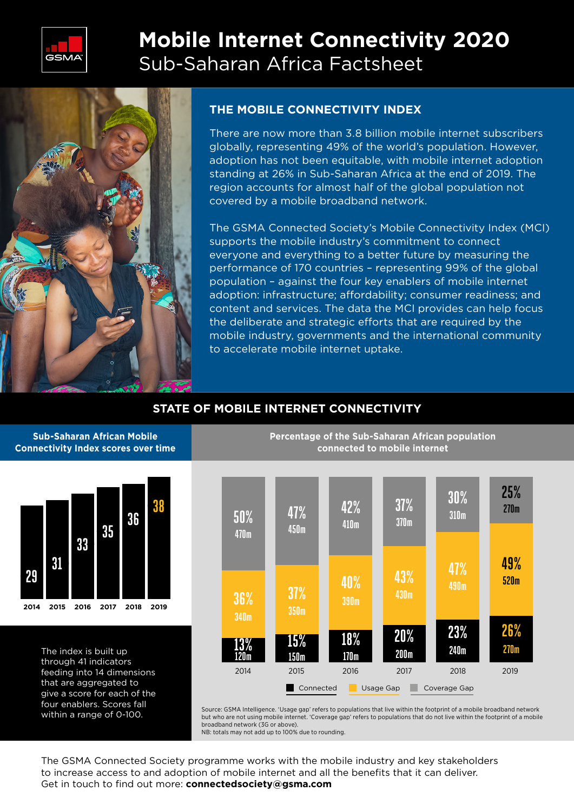

# **Mobile Internet Connectivity 2020**  Sub-Saharan Africa Factsheet



## **THE MOBILE CONNECTIVITY INDEX**

There are now more than 3.8 billion mobile internet subscribers globally, representing 49% of the world's population. However, adoption has not been equitable, with mobile internet adoption standing at 26% in Sub-Saharan Africa at the end of 2019. The region accounts for almost half of the global population not covered by a mobile broadband network.

The GSMA Connected Society's Mobile Connectivity Index (MCI) supports the mobile industry's commitment to connect everyone and everything to a better future by measuring the performance of 170 countries – representing 99% of the global population – against the four key enablers of mobile internet adoption: infrastructure; affordability; consumer readiness; and content and services. The data the MCI provides can help focus the deliberate and strategic efforts that are required by the mobile industry, governments and the international community to accelerate mobile internet uptake.

# **STATE OF MOBILE INTERNET CONNECTIVITY**

#### **Sub-Saharan African Mobile Connectivity Index scores over time**



The index is built up through 41 indicators feeding into 14 dimensions that are aggregated to give a score for each of the four enablers. Scores fall within a range of 0-100.





Source: GSMA Intelligence. 'Usage gap' refers to populations that live within the footprint of a mobile broadband network but who are not using mobile internet. 'Coverage gap' refers to populations that do not live within the footprint of a mobile broadband network (3G or above).

NB: totals may not add up to 100% due to rounding.

The GSMA Connected Society programme works with the mobile industry and key stakeholders to increase access to and adoption of mobile internet and all the benefits that it can deliver. Get in touch to find out more: **connectedsociety@gsma.com**